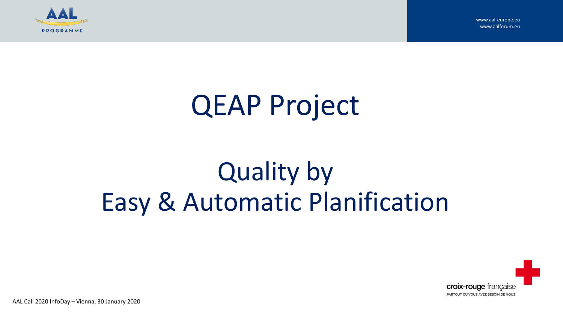

# QEAP Project

# Quality by Easy & Automatic Planification



AAL Call 2020 InfoDay – Vienna, 30 January 2020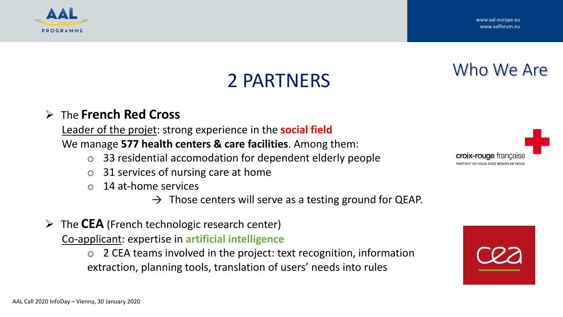

Who We Are

## 2 PARTNERS

#### ➢ The **French Red Cross**

Leader of the projet: strong experience in the **social field** We manage **577 health centers & care facilities**. Among them:

- o 33 residential accomodation for dependent elderly people
- o 31 services of nursing care at home
- o 14 at-home services

 $\rightarrow$  Those centers will serve as a testing ground for QEAP.

➢ The **CEA** (French technologic research center)

Co-applicant: expertise in **artificial intelligence**

 $\circ$  2 CEA teams involved in the project: text recognition, information extraction, planning tools, translation of users' needs into rules

croix-rouge francais

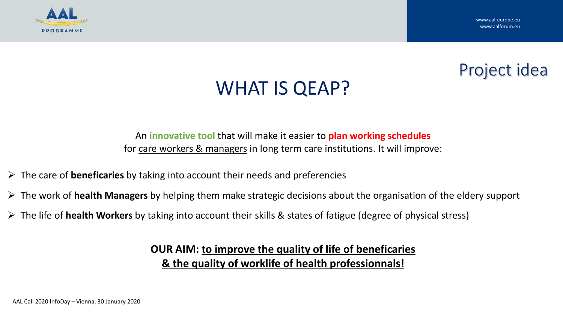

### Project idea

### WHAT IS QEAP?

An **innovative tool** that will make it easier to **plan working schedules** for care workers & managers in long term care institutions. It will improve:

- ➢ The care of **beneficaries** by taking into account their needs and preferencies
- ➢ The work of **health Managers** by helping them make strategic decisions about the organisation of the eldery support
- ➢ The life of **health Workers** by taking into account their skills & states of fatigue (degree of physical stress)

**OUR AIM: to improve the quality of life of beneficaries & the quality of worklife of health professionnals!**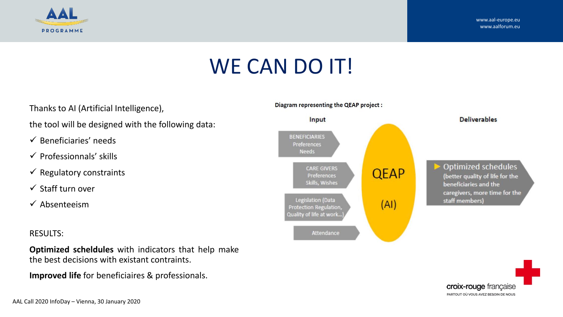

## WE CAN DO IT!

Thanks to AI (Artificial Intelligence),

the tool will be designed with the following data:

- $\checkmark$  Beneficiaries' needs
- $\checkmark$  Professionnals' skills
- $\checkmark$  Regulatory constraints
- ✓ Staff turn over
- $\checkmark$  Absenteeism

#### RESULTS:

**Optimized scheldules** with indicators that help make the best decisions with existant contraints.

**Improved life** for beneficiaires & professionals.